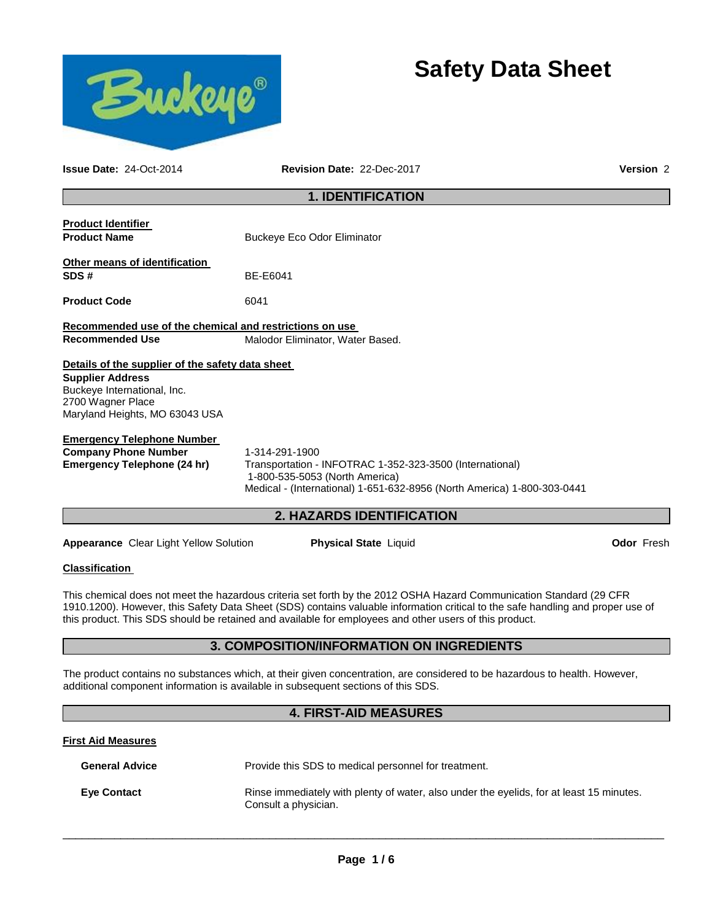

# **Safety Data Sheet**

**Issue Date:** 24-Oct-2014 **Revision Date:** 22-Dec-2017 **Version** 2

# **1. IDENTIFICATION**

| <b>Product Identifier</b><br><b>Product Name</b>                                                                                                                                                                                                                                                                                                                 | <b>Buckeye Eco Odor Eliminator</b>                                                                                                                                                      |  |  |  |
|------------------------------------------------------------------------------------------------------------------------------------------------------------------------------------------------------------------------------------------------------------------------------------------------------------------------------------------------------------------|-----------------------------------------------------------------------------------------------------------------------------------------------------------------------------------------|--|--|--|
| Other means of identification<br>SDS#                                                                                                                                                                                                                                                                                                                            | BE-E6041                                                                                                                                                                                |  |  |  |
| <b>Product Code</b>                                                                                                                                                                                                                                                                                                                                              | 6041                                                                                                                                                                                    |  |  |  |
| Recommended use of the chemical and restrictions on use<br><b>Recommended Use</b>                                                                                                                                                                                                                                                                                | Malodor Eliminator, Water Based.                                                                                                                                                        |  |  |  |
| Details of the supplier of the safety data sheet<br><b>Supplier Address</b><br>Buckeye International, Inc.<br>2700 Wagner Place<br>Maryland Heights, MO 63043 USA                                                                                                                                                                                                |                                                                                                                                                                                         |  |  |  |
| <b>Emergency Telephone Number</b><br><b>Company Phone Number</b><br><b>Emergency Telephone (24 hr)</b>                                                                                                                                                                                                                                                           | 1-314-291-1900<br>Transportation - INFOTRAC 1-352-323-3500 (International)<br>1-800-535-5053 (North America)<br>Medical - (International) 1-651-632-8956 (North America) 1-800-303-0441 |  |  |  |
|                                                                                                                                                                                                                                                                                                                                                                  | 2. HAZARDS IDENTIFICATION                                                                                                                                                               |  |  |  |
| <b>Appearance</b> Clear Light Yellow Solution                                                                                                                                                                                                                                                                                                                    | <b>Physical State Liquid</b><br><b>Odor Fresh</b>                                                                                                                                       |  |  |  |
| <b>Classification</b>                                                                                                                                                                                                                                                                                                                                            |                                                                                                                                                                                         |  |  |  |
| This chemical does not meet the hazardous criteria set forth by the 2012 OSHA Hazard Communication Standard (29 CFR<br>1910.1200). However, this Safety Data Sheet (SDS) contains valuable information critical to the safe handling and proper use of<br>this product. This SDS should be retained and available for employees and other users of this product. |                                                                                                                                                                                         |  |  |  |
| 3. COMPOSITION/INFORMATION ON INGREDIENTS                                                                                                                                                                                                                                                                                                                        |                                                                                                                                                                                         |  |  |  |
| The product contains no substances which, at their given concentration, are considered to be hazardous to health. However,<br>additional component information is available in subsequent sections of this SDS.                                                                                                                                                  |                                                                                                                                                                                         |  |  |  |
|                                                                                                                                                                                                                                                                                                                                                                  | <b>4. FIRST-AID MEASURES</b>                                                                                                                                                            |  |  |  |
| <b>First Aid Measures</b>                                                                                                                                                                                                                                                                                                                                        |                                                                                                                                                                                         |  |  |  |
|                                                                                                                                                                                                                                                                                                                                                                  |                                                                                                                                                                                         |  |  |  |

| <b>Eye Contact</b> | Rinse immediately with plenty of water, also under the eyelids, for at least 15 minutes.<br>Consult a physician. |
|--------------------|------------------------------------------------------------------------------------------------------------------|
|                    |                                                                                                                  |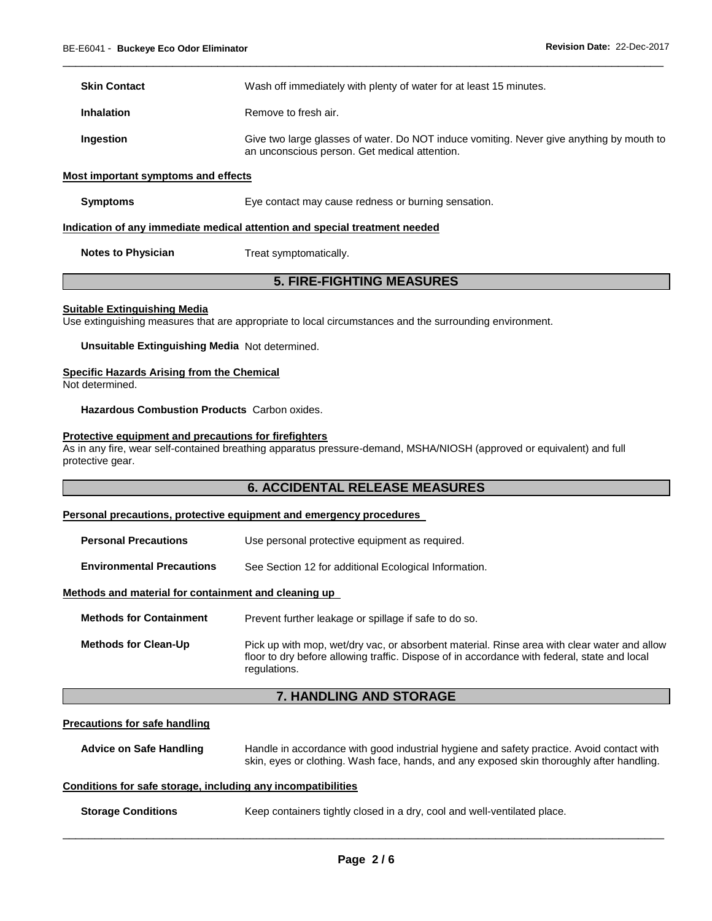| <b>Skin Contact</b> | Wash off immediately with plenty of water for at least 15 minutes.                                                                        |
|---------------------|-------------------------------------------------------------------------------------------------------------------------------------------|
| <b>Inhalation</b>   | Remove to fresh air.                                                                                                                      |
| Ingestion           | Give two large glasses of water. Do NOT induce vomiting. Never give anything by mouth to<br>an unconscious person. Get medical attention. |

\_\_\_\_\_\_\_\_\_\_\_\_\_\_\_\_\_\_\_\_\_\_\_\_\_\_\_\_\_\_\_\_\_\_\_\_\_\_\_\_\_\_\_\_\_\_\_\_\_\_\_\_\_\_\_\_\_\_\_\_\_\_\_\_\_\_\_\_\_\_\_\_\_\_\_\_\_\_\_\_\_\_\_\_\_\_\_\_\_\_\_\_\_

#### **Most important symptoms and effects**

| <b>Symptoms</b> | Eye contact may cause redness or burning sensation. |  |
|-----------------|-----------------------------------------------------|--|
|                 |                                                     |  |

#### **Indication of any immediate medical attention and special treatment needed**

**Notes to Physician Treat symptomatically.** 

# **5. FIRE-FIGHTING MEASURES**

#### **Suitable Extinguishing Media**

Use extinguishing measures that are appropriate to local circumstances and the surrounding environment.

**Unsuitable Extinguishing Media** Not determined.

#### **Specific Hazards Arising from the Chemical**

Not determined.

**Hazardous Combustion Products** Carbon oxides.

#### **Protective equipment and precautions for firefighters**

As in any fire, wear self-contained breathing apparatus pressure-demand, MSHA/NIOSH (approved or equivalent) and full protective gear.

### **6. ACCIDENTAL RELEASE MEASURES**

#### **Personal precautions, protective equipment and emergency procedures**

| <b>Personal Precautions</b> | Use personal protective equipment as required. |
|-----------------------------|------------------------------------------------|
|-----------------------------|------------------------------------------------|

**Environmental Precautions** See Section 12 for additional Ecological Information.

#### **Methods and material for containment and cleaning up**

| <b>Methods for Containment</b> | Prevent further leakage or spillage if safe to do so.                     |  |
|--------------------------------|---------------------------------------------------------------------------|--|
| Mathado far Claan IIn          | Diele un with mon, wet/dry voo, er obeerheet meterial. Dinee aree with el |  |

**Methods for Clean-Up** Pick up with mop, wet/dry vac, or absorbent material. Rinse area with clear water and allow floor to dry before allowing traffic. Dispose of in accordance with federal, state and local regulations.

# **7. HANDLING AND STORAGE**

#### **Precautions for safe handling**

**Advice on Safe Handling** Handle in accordance with good industrial hygiene and safety practice. Avoid contact with skin, eyes or clothing. Wash face, hands, and any exposed skin thoroughly after handling.

#### **Conditions for safe storage, including any incompatibilities**

**Storage Conditions Keep containers tightly closed in a dry, cool and well-ventilated place.**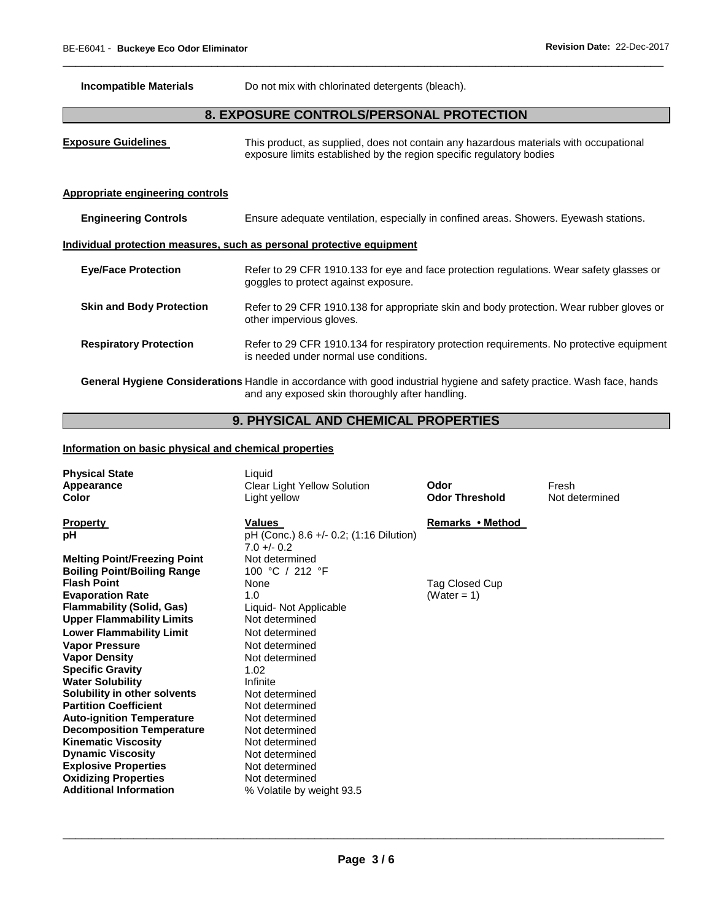**Incompatible Materials Do not mix with chlorinated detergents (bleach).** 

# **8. EXPOSURE CONTROLS/PERSONAL PROTECTION**

\_\_\_\_\_\_\_\_\_\_\_\_\_\_\_\_\_\_\_\_\_\_\_\_\_\_\_\_\_\_\_\_\_\_\_\_\_\_\_\_\_\_\_\_\_\_\_\_\_\_\_\_\_\_\_\_\_\_\_\_\_\_\_\_\_\_\_\_\_\_\_\_\_\_\_\_\_\_\_\_\_\_\_\_\_\_\_\_\_\_\_\_\_

**Exposure Guidelines** This product, as supplied, does not contain any hazardous materials with occupational exposure limits established by the region specific regulatory bodies **Appropriate engineering controls Engineering Controls** Ensure adequate ventilation, especially in confined areas. Showers. Eyewash stations. **Individual protection measures, such as personal protective equipment Eye/Face Protection** Refer to 29 CFR 1910.133 for eye and face protection regulations. Wear safety glasses or goggles to protect against exposure. **Skin and Body Protection** Refer to 29 CFR 1910.138 for appropriate skin and body protection. Wear rubber gloves or other impervious gloves. **Respiratory Protection** Refer to 29 CFR 1910.134 for respiratory protection requirements. No protective equipment is needed under normal use conditions.

**General Hygiene Considerations** Handle in accordance with good industrial hygiene and safety practice. Wash face, hands and any exposed skin thoroughly after handling.

# **9. PHYSICAL AND CHEMICAL PROPERTIES**

#### **Information on basic physical and chemical properties**

| <b>Physical State</b><br>Appearance<br>Color | Liquid<br>Clear Light Yellow Solution<br>Light yellow    | Odor<br><b>Odor Threshold</b> | Fresh<br>Not determined |
|----------------------------------------------|----------------------------------------------------------|-------------------------------|-------------------------|
| <b>Property</b>                              | Values                                                   | Remarks • Method              |                         |
| рH                                           | pH (Conc.) 8.6 +/- 0.2; (1:16 Dilution)<br>$7.0 +/- 0.2$ |                               |                         |
| <b>Melting Point/Freezing Point</b>          | Not determined                                           |                               |                         |
| <b>Boiling Point/Boiling Range</b>           | 100 °C / 212 °F                                          |                               |                         |
| <b>Flash Point</b>                           | None                                                     | Tag Closed Cup                |                         |
| <b>Evaporation Rate</b>                      | 1.0                                                      | (Water = 1)                   |                         |
| <b>Flammability (Solid, Gas)</b>             | Liquid- Not Applicable                                   |                               |                         |
| <b>Upper Flammability Limits</b>             | Not determined                                           |                               |                         |
| <b>Lower Flammability Limit</b>              | Not determined                                           |                               |                         |
| <b>Vapor Pressure</b>                        | Not determined                                           |                               |                         |
| <b>Vapor Density</b>                         | Not determined                                           |                               |                         |
| <b>Specific Gravity</b>                      | 1.02                                                     |                               |                         |
| <b>Water Solubility</b>                      | Infinite                                                 |                               |                         |
| Solubility in other solvents                 | Not determined                                           |                               |                         |
| <b>Partition Coefficient</b>                 | Not determined                                           |                               |                         |
| <b>Auto-ignition Temperature</b>             | Not determined                                           |                               |                         |
| <b>Decomposition Temperature</b>             | Not determined                                           |                               |                         |
| <b>Kinematic Viscosity</b>                   | Not determined                                           |                               |                         |
| <b>Dynamic Viscosity</b>                     | Not determined                                           |                               |                         |
| <b>Explosive Properties</b>                  | Not determined                                           |                               |                         |
| <b>Oxidizing Properties</b>                  | Not determined                                           |                               |                         |
| <b>Additional Information</b>                | % Volatile by weight 93.5                                |                               |                         |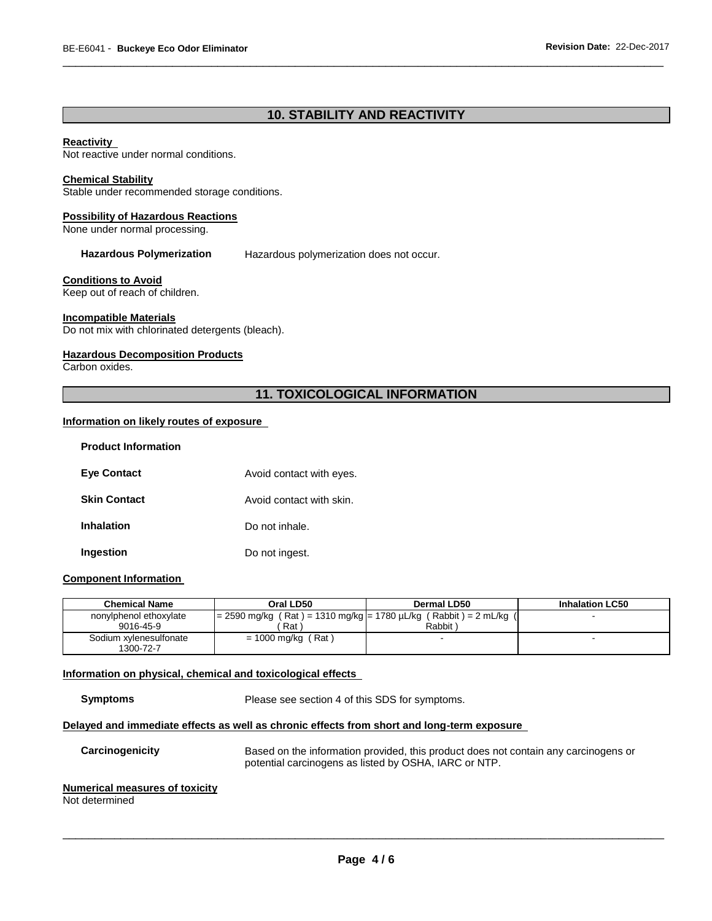# **10. STABILITY AND REACTIVITY**

\_\_\_\_\_\_\_\_\_\_\_\_\_\_\_\_\_\_\_\_\_\_\_\_\_\_\_\_\_\_\_\_\_\_\_\_\_\_\_\_\_\_\_\_\_\_\_\_\_\_\_\_\_\_\_\_\_\_\_\_\_\_\_\_\_\_\_\_\_\_\_\_\_\_\_\_\_\_\_\_\_\_\_\_\_\_\_\_\_\_\_\_\_

#### **Reactivity**

Not reactive under normal conditions.

#### **Chemical Stability**

Stable under recommended storage conditions.

#### **Possibility of Hazardous Reactions**

None under normal processing.

**Hazardous Polymerization** Hazardous polymerization does not occur.

#### **Conditions to Avoid**

Keep out of reach of children.

#### **Incompatible Materials**

Do not mix with chlorinated detergents (bleach).

#### **Hazardous Decomposition Products**

Carbon oxides.

# **11. TOXICOLOGICAL INFORMATION**

#### **Information on likely routes of exposure**

| <b>Product Information</b> |                          |
|----------------------------|--------------------------|
| <b>Eye Contact</b>         | Avoid contact with eyes. |
| <b>Skin Contact</b>        | Avoid contact with skin. |
| <b>Inhalation</b>          | Do not inhale.           |
| Ingestion                  | Do not ingest.           |

#### **Component Information**

| <b>Chemical Name</b>                | Oral LD50                                                         | Dermal LD50 | <b>Inhalation LC50</b> |
|-------------------------------------|-------------------------------------------------------------------|-------------|------------------------|
| nonylphenol ethoxylate              | $= 2590$ mg/kg (Rat) = 1310 mg/kg = 1780 µL/kg (Rabbit) = 2 mL/kg |             |                        |
| 9016-45-9                           | Rat                                                               | Rabbit)     |                        |
| Sodium xylenesulfonate<br>1300-72-7 | = 1000 mg/kg (Rat)                                                |             |                        |

#### **Information on physical, chemical and toxicological effects**

**Symptoms** Please see section 4 of this SDS for symptoms.

#### **Delayed and immediate effects as well as chronic effects from short and long-term exposure**

**Carcinogenicity** Based on the information provided, this product does not contain any carcinogens or potential carcinogens as listed by OSHA, IARC or NTP.

#### **Numerical measures of toxicity**

Not determined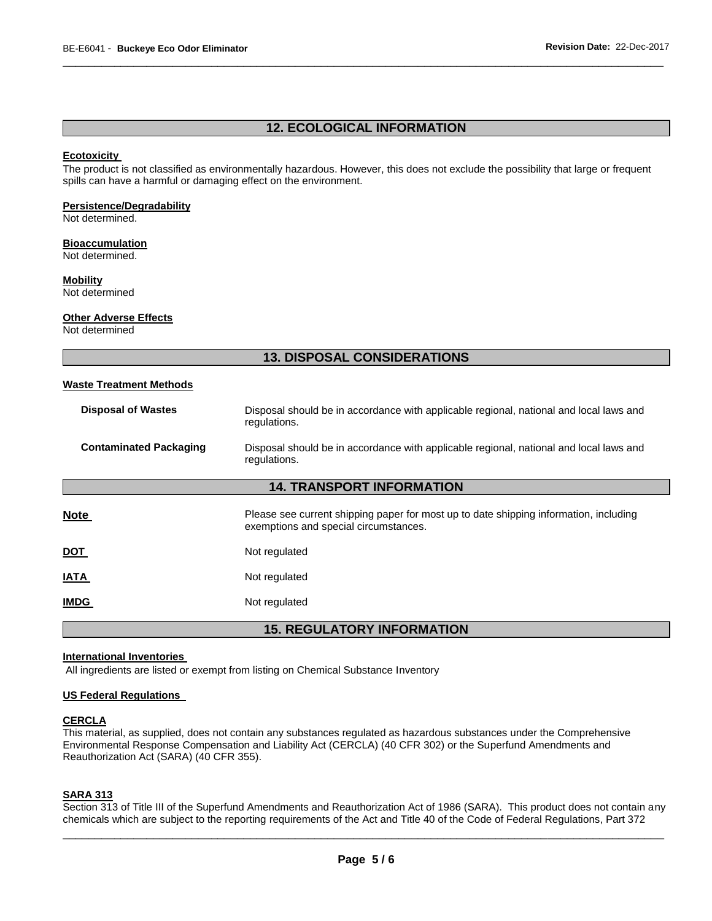# **12. ECOLOGICAL INFORMATION**

\_\_\_\_\_\_\_\_\_\_\_\_\_\_\_\_\_\_\_\_\_\_\_\_\_\_\_\_\_\_\_\_\_\_\_\_\_\_\_\_\_\_\_\_\_\_\_\_\_\_\_\_\_\_\_\_\_\_\_\_\_\_\_\_\_\_\_\_\_\_\_\_\_\_\_\_\_\_\_\_\_\_\_\_\_\_\_\_\_\_\_\_\_

#### **Ecotoxicity**

The product is not classified as environmentally hazardous. However, this does not exclude the possibility that large or frequent spills can have a harmful or damaging effect on the environment.

### **Persistence/Degradability**

Not determined.

#### **Bioaccumulation**

Not determined.

#### **Mobility**

Not determined

#### **Other Adverse Effects**

Not determined

# **13. DISPOSAL CONSIDERATIONS**

### **Waste Treatment Methods**

| <b>Disposal of Wastes</b>     | Disposal should be in accordance with applicable regional, national and local laws and<br>regulations. |
|-------------------------------|--------------------------------------------------------------------------------------------------------|
| <b>Contaminated Packaging</b> | Disposal should be in accordance with applicable regional, national and local laws and<br>regulations. |

#### **14. TRANSPORT INFORMATION**

| <b>Note</b> | Please see current shipping paper for most up to date shipping information, including<br>exemptions and special circumstances. |
|-------------|--------------------------------------------------------------------------------------------------------------------------------|
| <u>DOT</u>  | Not regulated                                                                                                                  |
| <u>IATA</u> | Not regulated                                                                                                                  |
| <b>IMDG</b> | Not regulated                                                                                                                  |

**15. REGULATORY INFORMATION** 

#### **International Inventories**

All ingredients are listed or exempt from listing on Chemical Substance Inventory

#### **US Federal Regulations**

#### **CERCLA**

This material, as supplied, does not contain any substances regulated as hazardous substances under the Comprehensive Environmental Response Compensation and Liability Act (CERCLA) (40 CFR 302) or the Superfund Amendments and Reauthorization Act (SARA) (40 CFR 355).

#### **SARA 313**

\_\_\_\_\_\_\_\_\_\_\_\_\_\_\_\_\_\_\_\_\_\_\_\_\_\_\_\_\_\_\_\_\_\_\_\_\_\_\_\_\_\_\_\_\_\_\_\_\_\_\_\_\_\_\_\_\_\_\_\_\_\_\_\_\_\_\_\_\_\_\_\_\_\_\_\_\_\_\_\_\_\_\_\_\_\_\_\_\_\_\_\_\_ Section 313 of Title III of the Superfund Amendments and Reauthorization Act of 1986 (SARA). This product does not contain any chemicals which are subject to the reporting requirements of the Act and Title 40 of the Code of Federal Regulations, Part 372